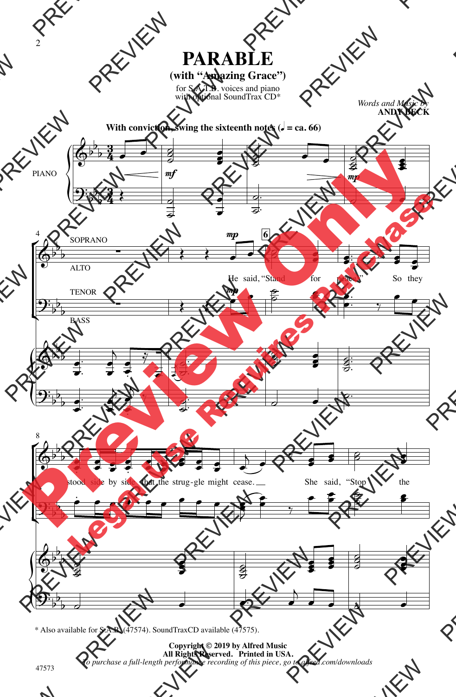## **(with "Amazing Grace")**

for S.A.T.B. voices and piano with optional SoundTrax CD\*

*Words and Music by* **ANDY BECK**



\* Also available for S.A.B. (47574). SoundTraxCD available (47575).

**Copyright © 2019 by Alfred Music All Rights Reserved. Printed in USA.** *To purchase a full-length performance recording of this piece, go to alfred.com/downloads*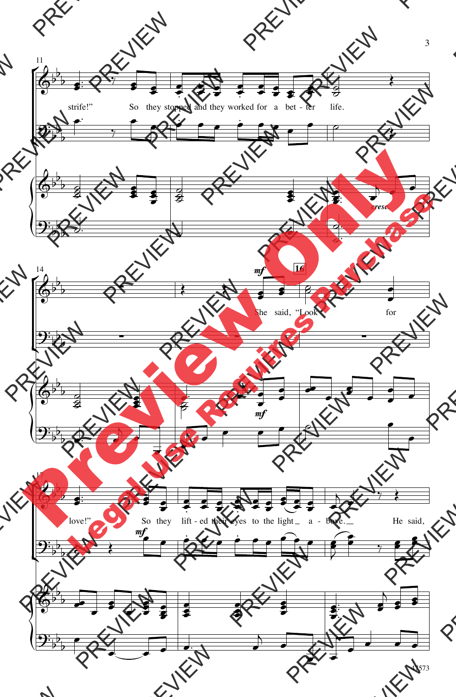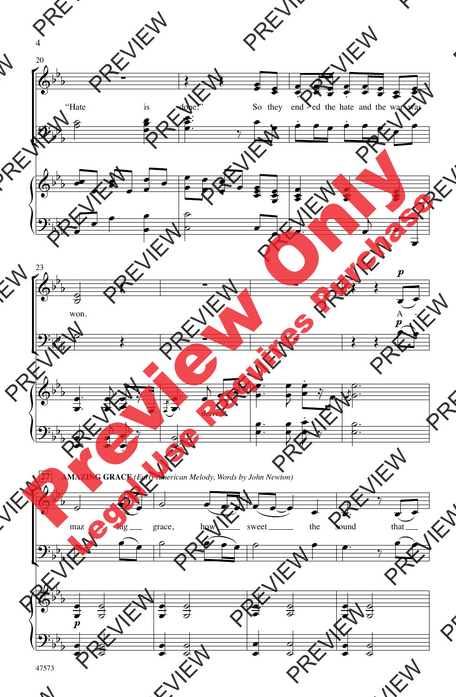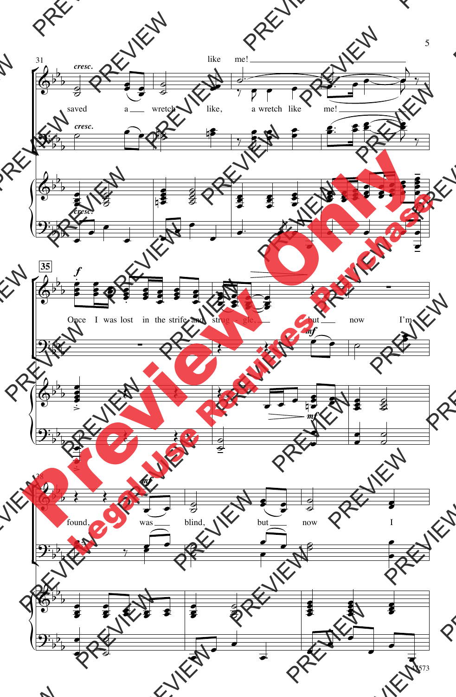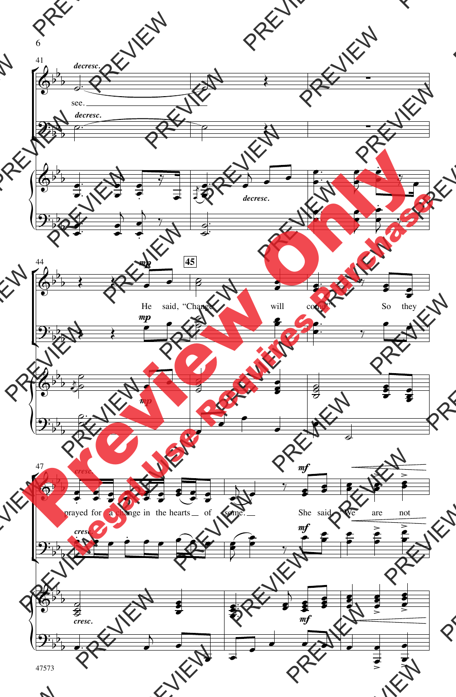